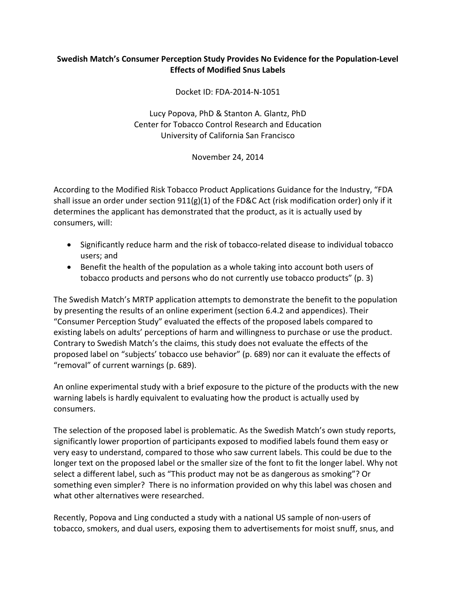## **Swedish Match's Consumer Perception Study Provides No Evidence for the Population-Level Effects of Modified Snus Labels**

Docket ID: FDA-2014-N-1051

Lucy Popova, PhD & Stanton A. Glantz, PhD Center for Tobacco Control Research and Education University of California San Francisco

November 24, 2014

According to the Modified Risk Tobacco Product Applications Guidance for the Industry, "FDA shall issue an order under section 911(g)(1) of the FD&C Act (risk modification order) only if it determines the applicant has demonstrated that the product, as it is actually used by consumers, will:

- Significantly reduce harm and the risk of tobacco-related disease to individual tobacco users; and
- Benefit the health of the population as a whole taking into account both users of tobacco products and persons who do not currently use tobacco products" (p. 3)

The Swedish Match's MRTP application attempts to demonstrate the benefit to the population by presenting the results of an online experiment (section 6.4.2 and appendices). Their "Consumer Perception Study" evaluated the effects of the proposed labels compared to existing labels on adults' perceptions of harm and willingness to purchase or use the product. Contrary to Swedish Match's the claims, this study does not evaluate the effects of the proposed label on "subjects' tobacco use behavior" (p. 689) nor can it evaluate the effects of "removal" of current warnings (p. 689).

An online experimental study with a brief exposure to the picture of the products with the new warning labels is hardly equivalent to evaluating how the product is actually used by consumers.

The selection of the proposed label is problematic. As the Swedish Match's own study reports, significantly lower proportion of participants exposed to modified labels found them easy or very easy to understand, compared to those who saw current labels. This could be due to the longer text on the proposed label or the smaller size of the font to fit the longer label. Why not select a different label, such as "This product may not be as dangerous as smoking"? Or something even simpler? There is no information provided on why this label was chosen and what other alternatives were researched.

Recently, Popova and Ling conducted a study with a national US sample of non-users of tobacco, smokers, and dual users, exposing them to advertisements for moist snuff, snus, and